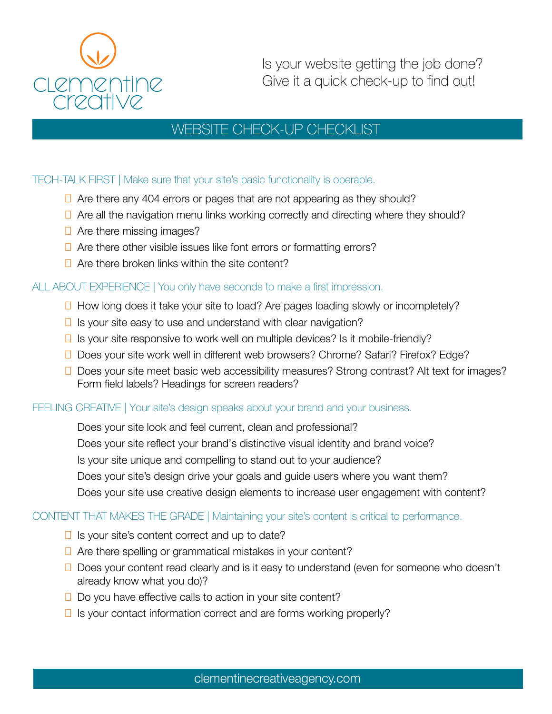

Is your website getting the job done? Give it a quick check-up to find out!

# WEBSITE CHECK-UP CHECKLIST

## TECH-TALK FIRST | Make sure that your site's basic functionality is operable.

- $\Box$  Are there any 404 errors or pages that are not appearing as they should?
- $\Box$  Are all the navigation menu links working correctly and directing where they should?
- $\Box$  Are there missing images?
- $\Box$  Are there other visible issues like font errors or formatting errors?
- $\Box$  Are there broken links within the site content?

## ALL ABOUT EXPERIENCE | You only have seconds to make a first impression.

- $\Box$  How long does it take your site to load? Are pages loading slowly or incompletely?
- $\Box$  Is your site easy to use and understand with clear navigation?
- $\Box$  Is your site responsive to work well on multiple devices? Is it mobile-friendly?
- □ Does your site work well in different web browsers? Chrome? Safari? Firefox? Edge?
- $\Box$  Does your site meet basic web accessibility measures? Strong contrast? Alt text for images? Form field labels? Headings for screen readers?

#### FEELING CREATIVE | Your site's design speaks about your brand and your business.

Does your site look and feel current, clean and professional? Does your site reflect your brand's distinctive visual identity and brand voice? Is your site unique and compelling to stand out to your audience? Does your site's design drive your goals and guide users where you want them? Does your site use creative design elements to increase user engagement with content?

#### CONTENT THAT MAKES THE GRADE | Maintaining your site's content is critical to performance.

- $\Box$  Is your site's content correct and up to date?
- $\Box$  Are there spelling or grammatical mistakes in your content?
- $\Box$  Does your content read clearly and is it easy to understand (even for someone who doesn't already know what you do)?
- $\Box$  Do you have effective calls to action in your site content?
- $\Box$  Is your contact information correct and are forms working properly?